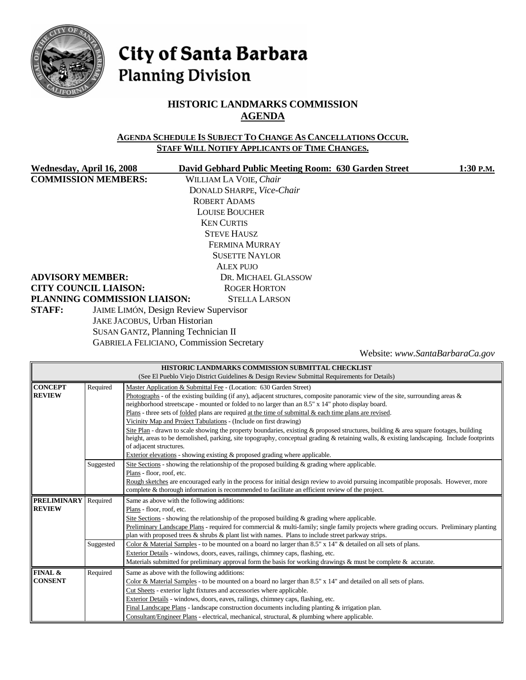

# City of Santa Barbara **Planning Division**

## **HISTORIC LANDMARKS COMMISSION AGENDA**

#### **AGENDA SCHEDULE IS SUBJECT TO CHANGE AS CANCELLATIONS OCCUR. STAFF WILL NOTIFY APPLICANTS OF TIME CHANGES.**

| Wednesday, April 16, 2008                              | David Gebhard Public Meeting Room: 630 Garden Street | 1:30 P.M. |  |  |
|--------------------------------------------------------|------------------------------------------------------|-----------|--|--|
| <b>COMMISSION MEMBERS:</b>                             | WILLIAM LA VOIE, Chair                               |           |  |  |
|                                                        | DONALD SHARPE, Vice-Chair                            |           |  |  |
|                                                        | <b>ROBERT ADAMS</b>                                  |           |  |  |
|                                                        | <b>LOUISE BOUCHER</b>                                |           |  |  |
|                                                        | <b>KEN CURTIS</b>                                    |           |  |  |
| <b>STEVE HAUSZ</b>                                     |                                                      |           |  |  |
|                                                        | FERMINA MURRAY                                       |           |  |  |
|                                                        | <b>SUSETTE NAYLOR</b>                                |           |  |  |
|                                                        | ALEX PUJO                                            |           |  |  |
| <b>ADVISORY MEMBER:</b>                                | DR. MICHAEL GLASSOW                                  |           |  |  |
| <b>CITY COUNCIL LIAISON:</b>                           | <b>ROGER HORTON</b>                                  |           |  |  |
| PLANNING COMMISSION LIAISON:                           | <b>STELLA LARSON</b>                                 |           |  |  |
| JAIME LIMÓN, Design Review Supervisor<br><b>STAFF:</b> |                                                      |           |  |  |
| JAKE JACOBUS, Urban Historian                          |                                                      |           |  |  |
| SUSAN GANTZ, Planning Technician II                    |                                                      |           |  |  |

GABRIELA FELICIANO, Commission Secretary

Website: *www.SantaBarbaraCa.gov*

| HISTORIC LANDMARKS COMMISSION SUBMITTAL CHECKLIST                                                             |                                                                                                                  |                                                                                                                                            |  |  |  |
|---------------------------------------------------------------------------------------------------------------|------------------------------------------------------------------------------------------------------------------|--------------------------------------------------------------------------------------------------------------------------------------------|--|--|--|
|                                                                                                               | (See El Pueblo Viejo District Guidelines & Design Review Submittal Requirements for Details)                     |                                                                                                                                            |  |  |  |
| <b>CONCEPT</b>                                                                                                | Required                                                                                                         | Master Application & Submittal Fee - (Location: 630 Garden Street)                                                                         |  |  |  |
| <b>REVIEW</b>                                                                                                 |                                                                                                                  | Photographs - of the existing building (if any), adjacent structures, composite panoramic view of the site, surrounding areas $\&$         |  |  |  |
|                                                                                                               |                                                                                                                  | neighborhood streetscape - mounted or folded to no larger than an 8.5" x 14" photo display board.                                          |  |  |  |
|                                                                                                               |                                                                                                                  | Plans - three sets of folded plans are required at the time of submittal & each time plans are revised.                                    |  |  |  |
|                                                                                                               | Vicinity Map and Project Tabulations - (Include on first drawing)                                                |                                                                                                                                            |  |  |  |
|                                                                                                               |                                                                                                                  | Site Plan - drawn to scale showing the property boundaries, existing & proposed structures, building & area square footages, building      |  |  |  |
|                                                                                                               |                                                                                                                  | height, areas to be demolished, parking, site topography, conceptual grading & retaining walls, & existing landscaping. Include footprints |  |  |  |
| of adjacent structures.                                                                                       |                                                                                                                  |                                                                                                                                            |  |  |  |
| Exterior elevations - showing existing & proposed grading where applicable.                                   |                                                                                                                  |                                                                                                                                            |  |  |  |
| Site Sections - showing the relationship of the proposed building $\&$ grading where applicable.<br>Suggested |                                                                                                                  |                                                                                                                                            |  |  |  |
|                                                                                                               |                                                                                                                  | Plans - floor, roof, etc.                                                                                                                  |  |  |  |
|                                                                                                               |                                                                                                                  | Rough sketches are encouraged early in the process for initial design review to avoid pursuing incompatible proposals. However, more       |  |  |  |
|                                                                                                               |                                                                                                                  | complete & thorough information is recommended to facilitate an efficient review of the project.                                           |  |  |  |
| <b>PRELIMINARY</b>                                                                                            | Required                                                                                                         | Same as above with the following additions:                                                                                                |  |  |  |
| <b>REVIEW</b>                                                                                                 |                                                                                                                  | Plans - floor, roof, etc.                                                                                                                  |  |  |  |
|                                                                                                               |                                                                                                                  | Site Sections - showing the relationship of the proposed building $\&$ grading where applicable.                                           |  |  |  |
|                                                                                                               |                                                                                                                  | Preliminary Landscape Plans - required for commercial & multi-family; single family projects where grading occurs. Preliminary planting    |  |  |  |
|                                                                                                               |                                                                                                                  | plan with proposed trees & shrubs & plant list with names. Plans to include street parkway strips.                                         |  |  |  |
|                                                                                                               | Suggested                                                                                                        | Color & Material Samples - to be mounted on a board no larger than 8.5" x 14" & detailed on all sets of plans.                             |  |  |  |
|                                                                                                               |                                                                                                                  | Exterior Details - windows, doors, eaves, railings, chimney caps, flashing, etc.                                                           |  |  |  |
|                                                                                                               |                                                                                                                  | Materials submitted for preliminary approval form the basis for working drawings $\&$ must be complete $\&$ accurate.                      |  |  |  |
| FINAL &                                                                                                       | Required<br>Same as above with the following additions:                                                          |                                                                                                                                            |  |  |  |
| <b>CONSENT</b>                                                                                                | Color & Material Samples - to be mounted on a board no larger than 8.5" x 14" and detailed on all sets of plans. |                                                                                                                                            |  |  |  |
|                                                                                                               |                                                                                                                  | Cut Sheets - exterior light fixtures and accessories where applicable.                                                                     |  |  |  |
|                                                                                                               |                                                                                                                  | Exterior Details - windows, doors, eaves, railings, chimney caps, flashing, etc.                                                           |  |  |  |
|                                                                                                               |                                                                                                                  | Final Landscape Plans - landscape construction documents including planting $\&$ irrigation plan.                                          |  |  |  |
|                                                                                                               |                                                                                                                  | Consultant/Engineer Plans - electrical, mechanical, structural, & plumbing where applicable.                                               |  |  |  |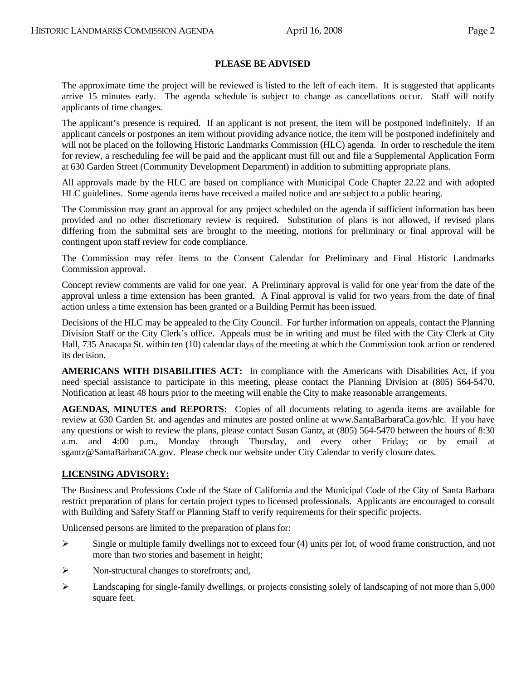#### **PLEASE BE ADVISED**

 The approximate time the project will be reviewed is listed to the left of each item. It is suggested that applicants arrive 15 minutes early. The agenda schedule is subject to change as cancellations occur. Staff will notify applicants of time changes.

 The applicant's presence is required. If an applicant is not present, the item will be postponed indefinitely. If an applicant cancels or postpones an item without providing advance notice, the item will be postponed indefinitely and will not be placed on the following Historic Landmarks Commission (HLC) agenda. In order to reschedule the item for review, a rescheduling fee will be paid and the applicant must fill out and file a Supplemental Application Form at 630 Garden Street (Community Development Department) in addition to submitting appropriate plans.

 All approvals made by the HLC are based on compliance with Municipal Code Chapter 22.22 and with adopted HLC guidelines. Some agenda items have received a mailed notice and are subject to a public hearing.

 The Commission may grant an approval for any project scheduled on the agenda if sufficient information has been provided and no other discretionary review is required. Substitution of plans is not allowed, if revised plans differing from the submittal sets are brought to the meeting, motions for preliminary or final approval will be contingent upon staff review for code compliance.

 The Commission may refer items to the Consent Calendar for Preliminary and Final Historic Landmarks Commission approval.

Concept review comments are valid for one year. A Preliminary approval is valid for one year from the date of the approval unless a time extension has been granted. A Final approval is valid for two years from the date of final action unless a time extension has been granted or a Building Permit has been issued.

Decisions of the HLC may be appealed to the City Council. For further information on appeals, contact the Planning Division Staff or the City Clerk's office. Appeals must be in writing and must be filed with the City Clerk at City Hall, 735 Anacapa St. within ten (10) calendar days of the meeting at which the Commission took action or rendered its decision.

 **AMERICANS WITH DISABILITIES ACT:** In compliance with the Americans with Disabilities Act, if you need special assistance to participate in this meeting, please contact the Planning Division at (805) 564-5470. Notification at least 48 hours prior to the meeting will enable the City to make reasonable arrangements.

 **AGENDAS, MINUTES and REPORTS:** Copies of all documents relating to agenda items are available for review at 630 Garden St. and agendas and minutes are posted online at www.SantaBarbaraCa.gov/hlc. If you have any questions or wish to review the plans, please contact Susan Gantz, at (805) 564-5470 between the hours of 8:30 a.m. and 4:00 p.m., Monday through Thursday, and every other Friday; or by email at sgantz@SantaBarbaraCA.gov. Please check our website under City Calendar to verify closure dates.

#### **LICENSING ADVISORY:**

The Business and Professions Code of the State of California and the Municipal Code of the City of Santa Barbara restrict preparation of plans for certain project types to licensed professionals. Applicants are encouraged to consult with Building and Safety Staff or Planning Staff to verify requirements for their specific projects.

Unlicensed persons are limited to the preparation of plans for:

- $\triangleright$  Single or multiple family dwellings not to exceed four (4) units per lot, of wood frame construction, and not more than two stories and basement in height;
- ¾ Non-structural changes to storefronts; and,
- $\blacktriangleright$  Landscaping for single-family dwellings, or projects consisting solely of landscaping of not more than 5,000 square feet.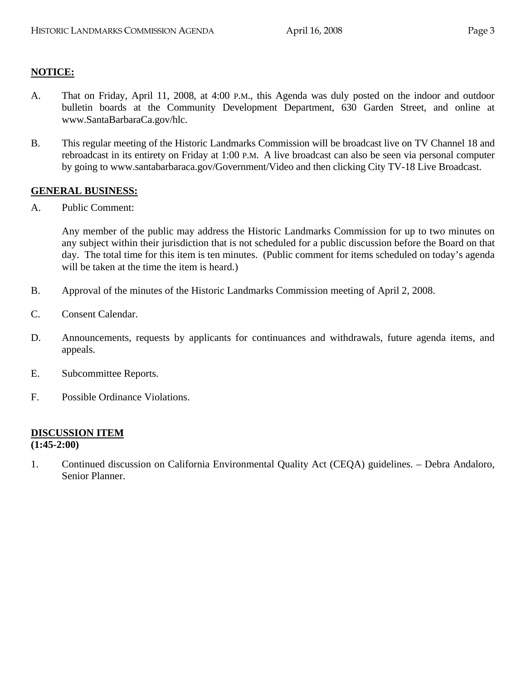#### **NOTICE:**

- A. That on Friday, April 11, 2008, at 4:00 P.M., this Agenda was duly posted on the indoor and outdoor bulletin boards at the Community Development Department, 630 Garden Street, and online at www.SantaBarbaraCa.gov/hlc.
- B. This regular meeting of the Historic Landmarks Commission will be broadcast live on TV Channel 18 and rebroadcast in its entirety on Friday at 1:00 P.M. A live broadcast can also be seen via personal computer by going to www.santabarbaraca.gov/Government/Video and then clicking City TV-18 Live Broadcast.

#### **GENERAL BUSINESS:**

A. Public Comment:

Any member of the public may address the Historic Landmarks Commission for up to two minutes on any subject within their jurisdiction that is not scheduled for a public discussion before the Board on that day. The total time for this item is ten minutes. (Public comment for items scheduled on today's agenda will be taken at the time the item is heard.)

- B. Approval of the minutes of the Historic Landmarks Commission meeting of April 2, 2008.
- C. Consent Calendar.
- D. Announcements, requests by applicants for continuances and withdrawals, future agenda items, and appeals.
- E. Subcommittee Reports.
- F. Possible Ordinance Violations.

# **DISCUSSION ITEM**

**(1:45-2:00)** 

1. Continued discussion on California Environmental Quality Act (CEQA) guidelines. – Debra Andaloro, Senior Planner.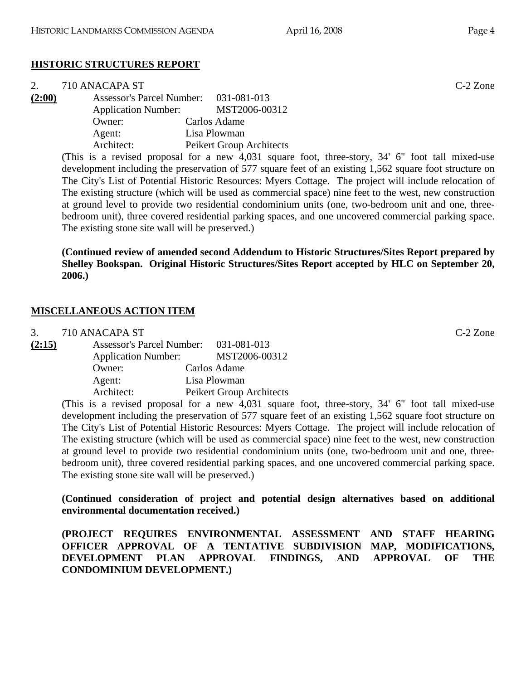# **HISTORIC STRUCTURES REPORT**

| 2.                         | 710 ANACAPA ST                        |                                                                                                          | $C-2$ Zone |
|----------------------------|---------------------------------------|----------------------------------------------------------------------------------------------------------|------------|
| (2:00)                     | Assessor's Parcel Number: 031-081-013 |                                                                                                          |            |
| <b>Application Number:</b> |                                       | MST2006-00312                                                                                            |            |
|                            | Owner:                                | Carlos Adame                                                                                             |            |
|                            | Agent:                                | Lisa Plowman                                                                                             |            |
|                            | Architect:                            | Peikert Group Architects                                                                                 |            |
|                            |                                       | (This is a revised proposal for a new $\Lambda$ 031 square foot three-story $34'$ 6" foot tall mixed-use |            |

(This is a revised proposal for a new 4,031 square foot, three-story, 34' 6" foot tall mixed-use development including the preservation of 577 square feet of an existing 1,562 square foot structure on The City's List of Potential Historic Resources: Myers Cottage. The project will include relocation of The existing structure (which will be used as commercial space) nine feet to the west, new construction at ground level to provide two residential condominium units (one, two-bedroom unit and one, threebedroom unit), three covered residential parking spaces, and one uncovered commercial parking space. The existing stone site wall will be preserved.)

**(Continued review of amended second Addendum to Historic Structures/Sites Report prepared by Shelley Bookspan. Original Historic Structures/Sites Report accepted by HLC on September 20, 2006.)** 

#### **MISCELLANEOUS ACTION ITEM**

3. 710 ANACAPA ST C-2 Zone

|  | 031-081-013                                                  |                                  |
|--|--------------------------------------------------------------|----------------------------------|
|  |                                                              | MST2006-00312                    |
|  |                                                              | Carlos Adame                     |
|  |                                                              | Lisa Plowman                     |
|  |                                                              | Peikert Group Architects         |
|  | <b>Application Number:</b><br>Owner:<br>Agent:<br>Architect: | <b>Assessor's Parcel Number:</b> |

(This is a revised proposal for a new 4,031 square foot, three-story, 34' 6" foot tall mixed-use development including the preservation of 577 square feet of an existing 1,562 square foot structure on The City's List of Potential Historic Resources: Myers Cottage. The project will include relocation of The existing structure (which will be used as commercial space) nine feet to the west, new construction at ground level to provide two residential condominium units (one, two-bedroom unit and one, threebedroom unit), three covered residential parking spaces, and one uncovered commercial parking space. The existing stone site wall will be preserved.)

**(Continued consideration of project and potential design alternatives based on additional environmental documentation received.)** 

**(PROJECT REQUIRES ENVIRONMENTAL ASSESSMENT AND STAFF HEARING OFFICER APPROVAL OF A TENTATIVE SUBDIVISION MAP, MODIFICATIONS, DEVELOPMENT PLAN APPROVAL FINDINGS, AND APPROVAL OF THE CONDOMINIUM DEVELOPMENT.)**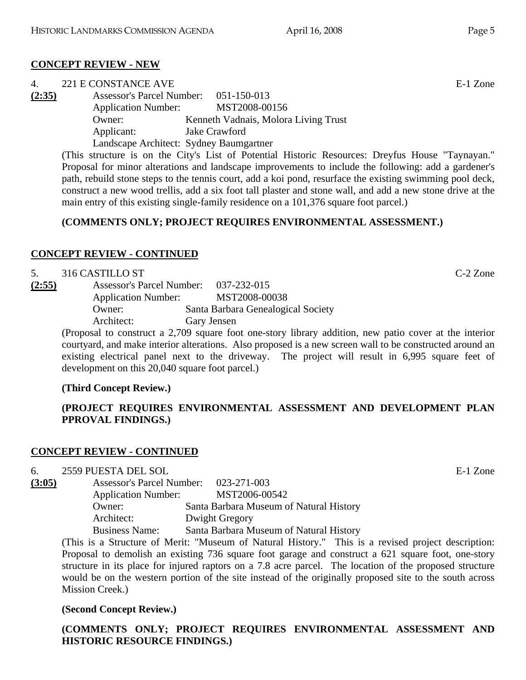# **CONCEPT REVIEW - NEW**

| 4.     | 221 E CONSTANCE AVE                     |                                      |  |          | E-1 Zone |
|--------|-----------------------------------------|--------------------------------------|--|----------|----------|
| (2:35) | Assessor's Parcel Number: 051-150-013   |                                      |  |          |          |
|        | <b>Application Number:</b>              | MST2008-00156                        |  |          |          |
|        | Owner:                                  | Kenneth Vadnais, Molora Living Trust |  |          |          |
|        | Applicant:                              | Jake Crawford                        |  |          |          |
|        | Landscape Architect: Sydney Baumgartner |                                      |  |          |          |
|        |                                         |                                      |  | $\cdots$ |          |

(This structure is on the City's List of Potential Historic Resources: Dreyfus House "Taynayan." Proposal for minor alterations and landscape improvements to include the following: add a gardener's path, rebuild stone steps to the tennis court, add a koi pond, resurface the existing swimming pool deck, construct a new wood trellis, add a six foot tall plaster and stone wall, and add a new stone drive at the main entry of this existing single-family residence on a 101,376 square foot parcel.)

# **(COMMENTS ONLY; PROJECT REQUIRES ENVIRONMENTAL ASSESSMENT.)**

# **CONCEPT REVIEW - CONTINUED**

## 5. 316 CASTILLO ST C-2 Zone

**(2:55)** Assessor's Parcel Number: 037-232-015 Application Number: MST2008-00038 Owner: Santa Barbara Genealogical Society Architect: Gary Jensen

(Proposal to construct a 2,709 square foot one-story library addition, new patio cover at the interior courtyard, and make interior alterations. Also proposed is a new screen wall to be constructed around an existing electrical panel next to the driveway. The project will result in 6,995 square feet of development on this 20,040 square foot parcel.)

## **(Third Concept Review.)**

# **(PROJECT REQUIRES ENVIRONMENTAL ASSESSMENT AND DEVELOPMENT PLAN PPROVAL FINDINGS.)**

## **CONCEPT REVIEW - CONTINUED**

## 6. 2559 PUESTA DEL SOL E-1 Zone

**(3:05)** Assessor's Parcel Number: 023-271-003 Application Number: MST2006-00542 Owner: Santa Barbara Museum of Natural History Architect: Dwight Gregory Business Name: Santa Barbara Museum of Natural History

(This is a Structure of Merit: "Museum of Natural History." This is a revised project description: Proposal to demolish an existing 736 square foot garage and construct a 621 square foot, one-story structure in its place for injured raptors on a 7.8 acre parcel. The location of the proposed structure would be on the western portion of the site instead of the originally proposed site to the south across Mission Creek.)

## **(Second Concept Review.)**

**(COMMENTS ONLY; PROJECT REQUIRES ENVIRONMENTAL ASSESSMENT AND HISTORIC RESOURCE FINDINGS.)**